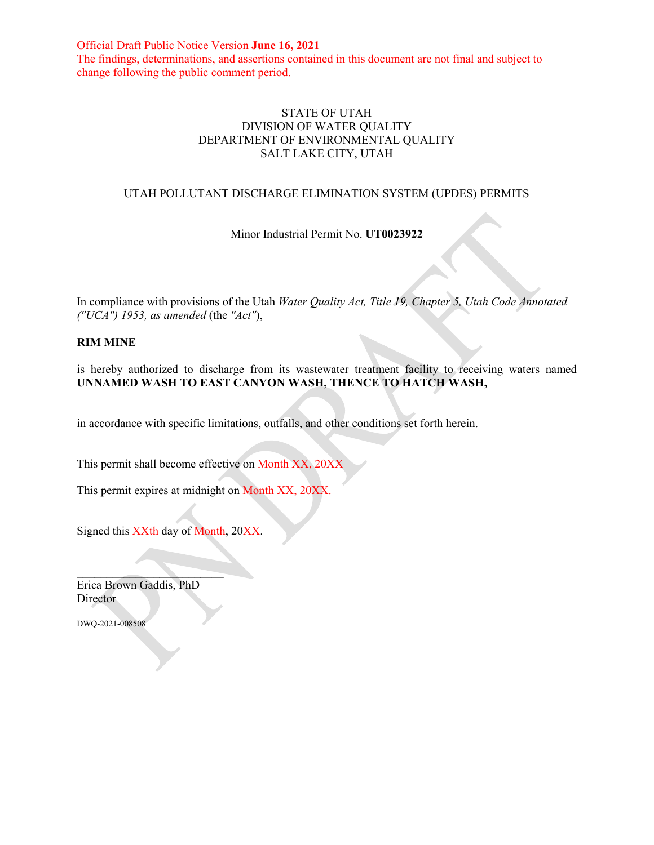Official Draft Public Notice Version **June 16, 2021** The findings, determinations, and assertions contained in this document are not final and subject to change following the public comment period.

### STATE OF UTAH DIVISION OF WATER QUALITY DEPARTMENT OF ENVIRONMENTAL QUALITY SALT LAKE CITY, UTAH

### UTAH POLLUTANT DISCHARGE ELIMINATION SYSTEM (UPDES) PERMITS

Minor Industrial Permit No. **UT0023922**

In compliance with provisions of the Utah *Water Quality Act, Title 19, Chapter 5, Utah Code Annotated ("UCA") 1953, as amended* (the *"Act"*),

#### **RIM MINE**

is hereby authorized to discharge from its wastewater treatment facility to receiving waters named **UNNAMED WASH TO EAST CANYON WASH, THENCE TO HATCH WASH,** 

in accordance with specific limitations, outfalls, and other conditions set forth herein.

This permit shall become effective on Month XX, 20XX

This permit expires at midnight on Month XX, 20XX.

Signed this XXth day of Month, 20XX.

 $\overline{\phantom{a}}$ Erica Brown Gaddis, PhD Director

DWQ-2021-008508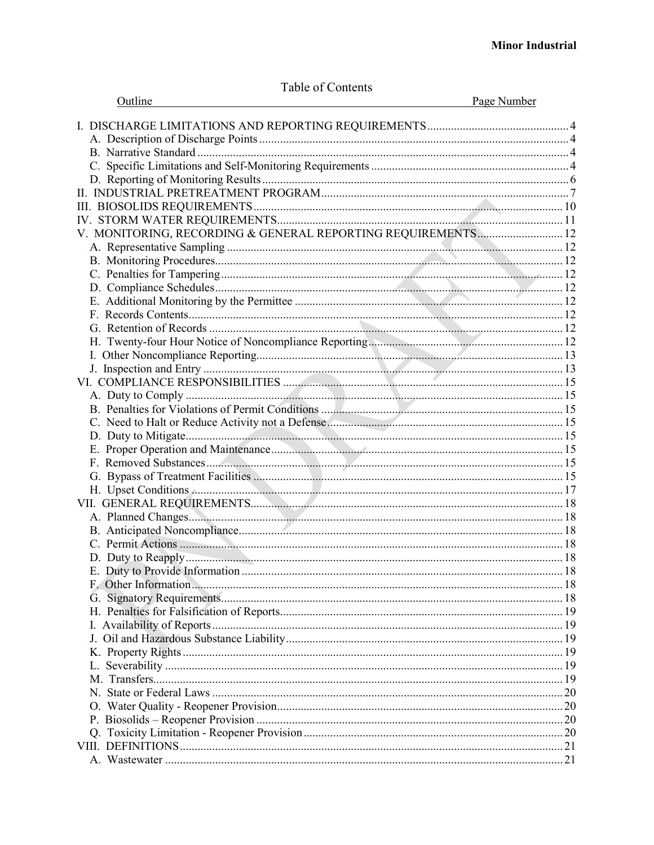|  | Table of Contents |
|--|-------------------|
|  |                   |

| Outline                                                       | Page Number |
|---------------------------------------------------------------|-------------|
|                                                               |             |
|                                                               |             |
|                                                               |             |
|                                                               |             |
|                                                               |             |
|                                                               |             |
|                                                               |             |
|                                                               |             |
| V. MONITORING, RECORDING & GENERAL REPORTING REQUIREMENTS  12 |             |
|                                                               |             |
|                                                               |             |
|                                                               |             |
|                                                               |             |
|                                                               |             |
|                                                               |             |
|                                                               |             |
|                                                               |             |
|                                                               |             |
|                                                               |             |
|                                                               |             |
|                                                               |             |
|                                                               |             |
|                                                               |             |
|                                                               |             |
|                                                               |             |
|                                                               |             |
|                                                               |             |
|                                                               |             |
|                                                               |             |
|                                                               |             |
|                                                               |             |
|                                                               |             |
|                                                               |             |
| E. Duty to Provide Information.                               | . 18        |
|                                                               |             |
|                                                               |             |
|                                                               |             |
|                                                               |             |
|                                                               |             |
|                                                               |             |
|                                                               |             |
|                                                               |             |
|                                                               |             |
|                                                               |             |
|                                                               |             |
|                                                               |             |
|                                                               |             |
|                                                               |             |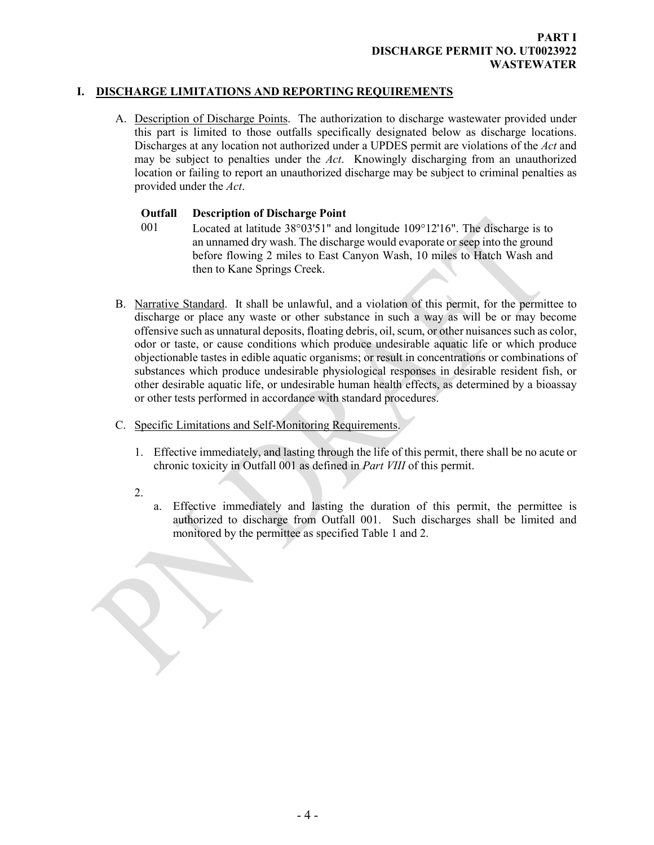# **I. DISCHARGE LIMITATIONS AND REPORTING REQUIREMENTS**

<span id="page-2-1"></span>A. Description of Discharge Points. The authorization to discharge wastewater provided under this part is limited to those outfalls specifically designated below as discharge locations. Discharges at any location not authorized under a UPDES permit are violations of the *Act* and may be subject to penalties under the *Act*. Knowingly discharging from an unauthorized location or failing to report an unauthorized discharge may be subject to criminal penalties as provided under the *Act*.

### <span id="page-2-0"></span>**Outfall Description of Discharge Point**

- 001 Located at latitude 38°03'51" and longitude 109°12'16". The discharge is to an unnamed dry wash. The discharge would evaporate or seep into the ground before flowing 2 miles to East Canyon Wash, 10 miles to Hatch Wash and then to Kane Springs Creek.
- <span id="page-2-2"></span>B. Narrative Standard. It shall be unlawful, and a violation of this permit, for the permittee to discharge or place any waste or other substance in such a way as will be or may become offensive such as unnatural deposits, floating debris, oil, scum, or other nuisances such as color, odor or taste, or cause conditions which produce undesirable aquatic life or which produce objectionable tastes in edible aquatic organisms; or result in concentrations or combinations of substances which produce undesirable physiological responses in desirable resident fish, or other desirable aquatic life, or undesirable human health effects, as determined by a bioassay or other tests performed in accordance with standard procedures.
- C. Specific Limitations and Self-Monitoring Requirements.
	- 1. Effective immediately, and lasting through the life of this permit, there shall be no acute or chronic toxicity in Outfall 001 as defined in *Part VIII* of this permit.
	- 2.
- <span id="page-2-3"></span>a. Effective immediately and lasting the duration of this permit, the permittee is authorized to discharge from Outfall 001. Such discharges shall be limited and monitored by the permittee as specified Table 1 and 2.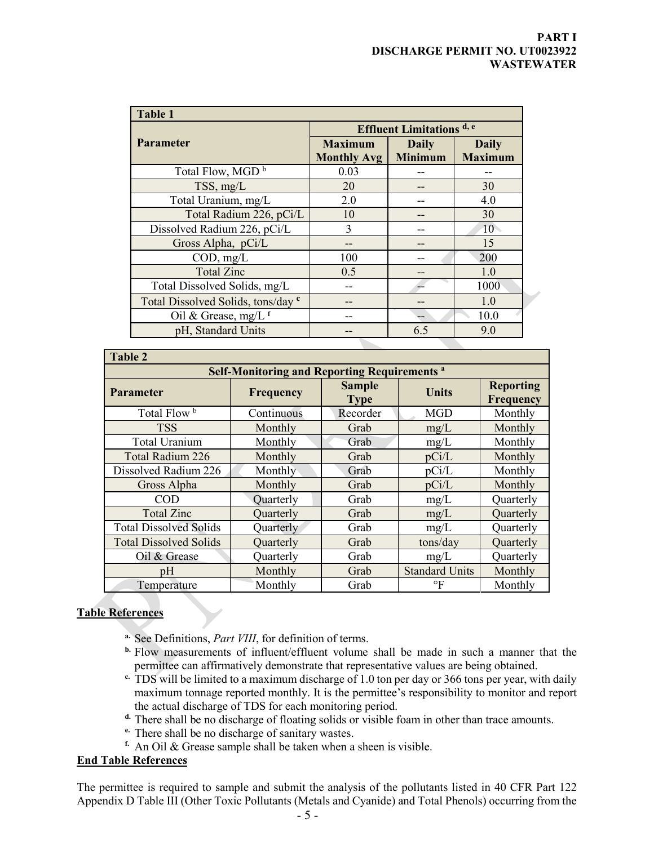| <b>Table 1</b>                     |                                  |                |                 |  |  |  |
|------------------------------------|----------------------------------|----------------|-----------------|--|--|--|
|                                    | <b>Effluent Limitations</b> d, e |                |                 |  |  |  |
| <b>Parameter</b>                   | <b>Maximum</b>                   | <b>Daily</b>   | <b>Daily</b>    |  |  |  |
|                                    | <b>Monthly Avg</b>               | <b>Minimum</b> | <b>Maximum</b>  |  |  |  |
| Total Flow, MGD <sup>b</sup>       | 0.03                             |                |                 |  |  |  |
| TSS, mg/L                          | 20                               |                | 30              |  |  |  |
| Total Uranium, mg/L                | 2.0                              |                | 4.0             |  |  |  |
| Total Radium 226, pCi/L            | 10                               |                | 30              |  |  |  |
| Dissolved Radium 226, pCi/L        | 3                                |                | 10 <sup>1</sup> |  |  |  |
| Gross Alpha, pCi/L                 |                                  |                | 15              |  |  |  |
| COD, mg/L                          | 100                              |                | 200             |  |  |  |
| <b>Total Zinc</b>                  | 0.5                              |                | 1.0             |  |  |  |
| Total Dissolved Solids, mg/L       |                                  |                | 1000            |  |  |  |
| Total Dissolved Solids, tons/day c |                                  |                | 1.0             |  |  |  |
| Oil & Grease, mg/L $f$             |                                  |                | 10.0            |  |  |  |
| pH, Standard Units                 |                                  | 6.5            | 9.0             |  |  |  |

| <b>Table 2</b>                                      |            |                              |                       |                               |  |  |  |
|-----------------------------------------------------|------------|------------------------------|-----------------------|-------------------------------|--|--|--|
| <b>Self-Monitoring and Reporting Requirements a</b> |            |                              |                       |                               |  |  |  |
| <b>Parameter</b>                                    | Frequency  | <b>Sample</b><br><b>Type</b> | Units                 | <b>Reporting</b><br>Frequency |  |  |  |
| Total Flow <sup>b</sup>                             | Continuous | Recorder                     | MGD                   | Monthly                       |  |  |  |
| <b>TSS</b>                                          | Monthly    | Grab                         | mg/L                  | Monthly                       |  |  |  |
| Total Uranium                                       | Monthly    | Grab                         | mg/L                  | Monthly                       |  |  |  |
| Total Radium 226                                    | Monthly    | Grab                         | pCi/L                 | Monthly                       |  |  |  |
| Dissolved Radium 226                                | Monthly    | Grab                         | pCi/L                 | Monthly                       |  |  |  |
| Gross Alpha                                         | Monthly    | Grab                         | pCi/L                 | Monthly                       |  |  |  |
| <b>COD</b>                                          | Quarterly  | Grab                         | mg/L                  | Quarterly                     |  |  |  |
| <b>Total Zinc</b>                                   | Quarterly  | Grab                         | mg/L                  | Quarterly                     |  |  |  |
| <b>Total Dissolved Solids</b>                       | Quarterly  | Grab                         | mg/L                  | Quarterly                     |  |  |  |
| <b>Total Dissolved Solids</b>                       | Quarterly  | Grab                         | tons/day              | Quarterly                     |  |  |  |
| Oil & Grease                                        | Quarterly  | Grab                         | mg/L                  | Quarterly                     |  |  |  |
| pH                                                  | Monthly    | Grab                         | <b>Standard Units</b> | Monthly                       |  |  |  |
| Temperature                                         | Monthly    | Grab                         | $\circ$ F             | Monthly                       |  |  |  |

# **Table References**

- **a.** See Definitions, *Part VIII*, for definition of terms.
- **b.** Flow measurements of influent/effluent volume shall be made in such a manner that the permittee can affirmatively demonstrate that representative values are being obtained.
- <sup>c.</sup> TDS will be limited to a maximum discharge of 1.0 ton per day or 366 tons per year, with daily maximum tonnage reported monthly. It is the permittee's responsibility to monitor and report the actual discharge of TDS for each monitoring period.
- **d.** There shall be no discharge of floating solids or visible foam in other than trace amounts.
- **e.** There shall be no discharge of sanitary wastes.
- **f.** An Oil & Grease sample shall be taken when a sheen is visible.

## **End Table References**

The permittee is required to sample and submit the analysis of the pollutants listed in 40 CFR Part 122 Appendix D Table III (Other Toxic Pollutants (Metals and Cyanide) and Total Phenols) occurring from the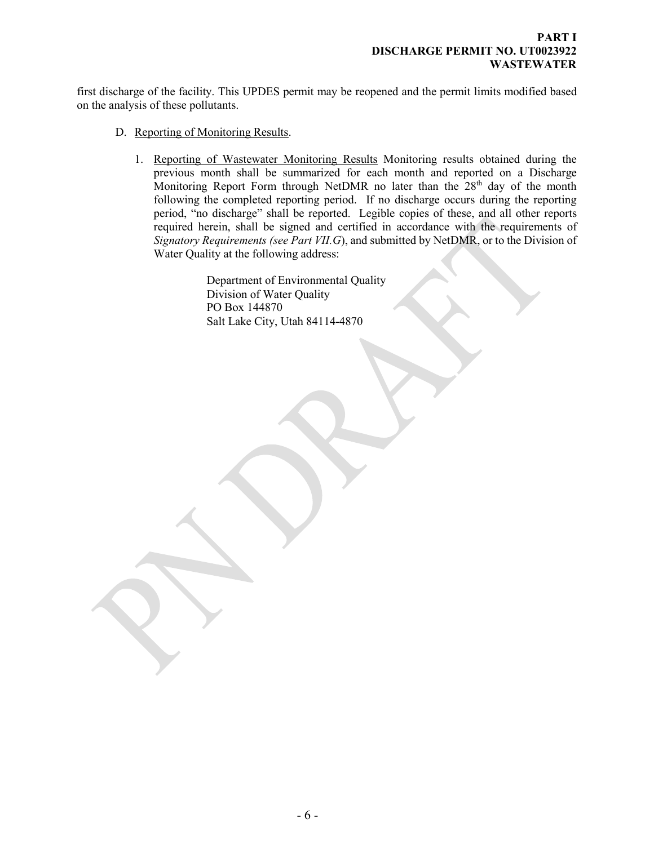first discharge of the facility. This UPDES permit may be reopened and the permit limits modified based on the analysis of these pollutants.

- D. Reporting of Monitoring Results.
	- 1. Reporting of Wastewater Monitoring Results Monitoring results obtained during the previous month shall be summarized for each month and reported on a Discharge Monitoring Report Form through NetDMR no later than the 28<sup>th</sup> day of the month following the completed reporting period. If no discharge occurs during the reporting period, "no discharge" shall be reported. Legible copies of these, and all other reports required herein, shall be signed and certified in accordance with the requirements of *Signatory Requirements (see Part VII.G*), and submitted by NetDMR, or to the Division of Water Quality at the following address:

<span id="page-4-0"></span>Department of Environmental Quality Division of Water Quality PO Box 144870 Salt Lake City, Utah 84114-4870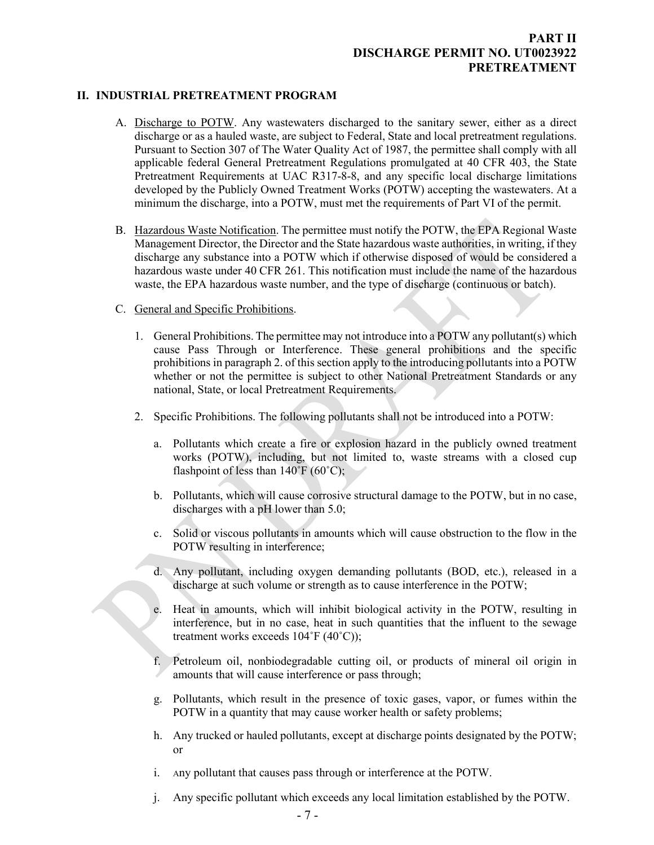# <span id="page-5-0"></span>**PART II DISCHARGE PERMIT NO. UT0023922 PRETREATMENT**

#### **II. INDUSTRIAL PRETREATMENT PROGRAM**

- A. Discharge to POTW. Any wastewaters discharged to the sanitary sewer, either as a direct discharge or as a hauled waste, are subject to Federal, State and local pretreatment regulations. Pursuant to Section 307 of The Water Quality Act of 1987, the permittee shall comply with all applicable federal General Pretreatment Regulations promulgated at 40 CFR 403, the State Pretreatment Requirements at UAC R317-8-8, and any specific local discharge limitations developed by the Publicly Owned Treatment Works (POTW) accepting the wastewaters. At a minimum the discharge, into a POTW, must met the requirements of Part VI of the permit.
- B. Hazardous Waste Notification. The permittee must notify the POTW, the EPA Regional Waste Management Director, the Director and the State hazardous waste authorities, in writing, if they discharge any substance into a POTW which if otherwise disposed of would be considered a hazardous waste under 40 CFR 261. This notification must include the name of the hazardous waste, the EPA hazardous waste number, and the type of discharge (continuous or batch).
- C. General and Specific Prohibitions.
	- 1. General Prohibitions. The permittee may not introduce into a POTW any pollutant(s) which cause Pass Through or Interference. These general prohibitions and the specific prohibitions in paragraph 2. of this section apply to the introducing pollutants into a POTW whether or not the permittee is subject to other National Pretreatment Standards or any national, State, or local Pretreatment Requirements.
	- 2. Specific Prohibitions. The following pollutants shall not be introduced into a POTW:
		- a. Pollutants which create a fire or explosion hazard in the publicly owned treatment works (POTW), including, but not limited to, waste streams with a closed cup flashpoint of less than  $140^{\circ}$ F (60 $^{\circ}$ C);
		- b. Pollutants, which will cause corrosive structural damage to the POTW, but in no case, discharges with a pH lower than 5.0;
		- c. Solid or viscous pollutants in amounts which will cause obstruction to the flow in the POTW resulting in interference;
		- d. Any pollutant, including oxygen demanding pollutants (BOD, etc.), released in a discharge at such volume or strength as to cause interference in the POTW;
		- e. Heat in amounts, which will inhibit biological activity in the POTW, resulting in interference, but in no case, heat in such quantities that the influent to the sewage treatment works exceeds 104˚F (40˚C));
		- f. Petroleum oil, nonbiodegradable cutting oil, or products of mineral oil origin in amounts that will cause interference or pass through;
		- g. Pollutants, which result in the presence of toxic gases, vapor, or fumes within the POTW in a quantity that may cause worker health or safety problems;
		- h. Any trucked or hauled pollutants, except at discharge points designated by the POTW; or
		- i. Any pollutant that causes pass through or interference at the POTW.
		- j. Any specific pollutant which exceeds any local limitation established by the POTW.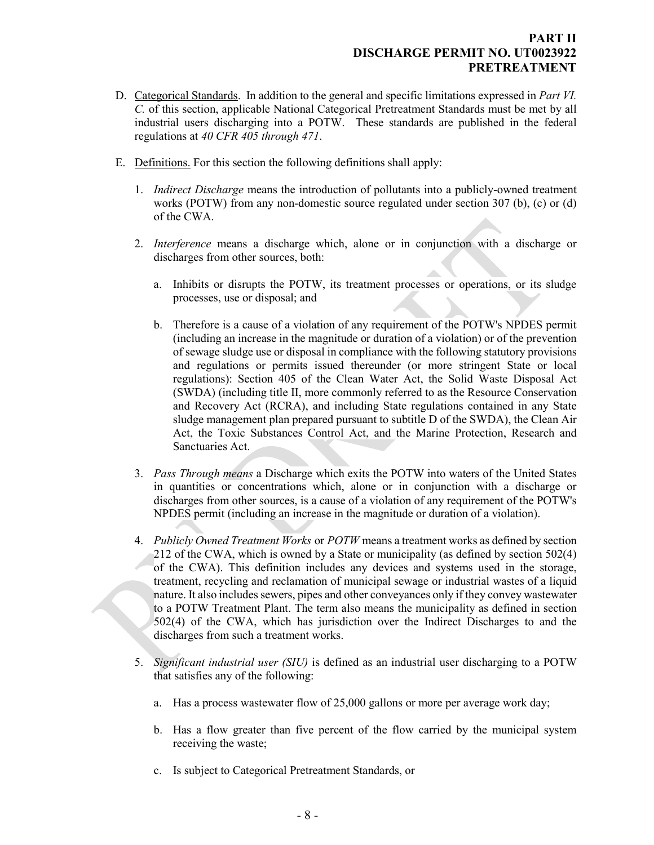## **PART II DISCHARGE PERMIT NO. UT0023922 PRETREATMENT**

- D. Categorical Standards. In addition to the general and specific limitations expressed in *Part VI. C.* of this section, applicable National Categorical Pretreatment Standards must be met by all industrial users discharging into a POTW. These standards are published in the federal regulations at *40 CFR 405 through 471*.
- E. Definitions. For this section the following definitions shall apply:
	- 1. *Indirect Discharge* means the introduction of pollutants into a publicly-owned treatment works (POTW) from any non-domestic source regulated under section 307 (b), (c) or (d) of the CWA.
	- 2. *Interference* means a discharge which, alone or in conjunction with a discharge or discharges from other sources, both:
		- a. Inhibits or disrupts the POTW, its treatment processes or operations, or its sludge processes, use or disposal; and
		- b. Therefore is a cause of a violation of any requirement of the POTW's NPDES permit (including an increase in the magnitude or duration of a violation) or of the prevention of sewage sludge use or disposal in compliance with the following statutory provisions and regulations or permits issued thereunder (or more stringent State or local regulations): Section 405 of the Clean Water Act, the Solid Waste Disposal Act (SWDA) (including title II, more commonly referred to as the Resource Conservation and Recovery Act (RCRA), and including State regulations contained in any State sludge management plan prepared pursuant to subtitle D of the SWDA), the Clean Air Act, the Toxic Substances Control Act, and the Marine Protection, Research and Sanctuaries Act.
	- 3. *Pass Through means* a Discharge which exits the POTW into waters of the United States in quantities or concentrations which, alone or in conjunction with a discharge or discharges from other sources, is a cause of a violation of any requirement of the POTW's NPDES permit (including an increase in the magnitude or duration of a violation).
	- 4. *Publicly Owned Treatment Works* or *POTW* means a treatment works as defined by section 212 of the CWA, which is owned by a State or municipality (as defined by section 502(4) of the CWA). This definition includes any devices and systems used in the storage, treatment, recycling and reclamation of municipal sewage or industrial wastes of a liquid nature. It also includes sewers, pipes and other conveyances only if they convey wastewater to a POTW Treatment Plant. The term also means the municipality as defined in section 502(4) of the CWA, which has jurisdiction over the Indirect Discharges to and the discharges from such a treatment works.
	- 5. *Significant industrial user (SIU)* is defined as an industrial user discharging to a POTW that satisfies any of the following:
		- a. Has a process wastewater flow of 25,000 gallons or more per average work day;
		- b. Has a flow greater than five percent of the flow carried by the municipal system receiving the waste;
		- c. Is subject to Categorical Pretreatment Standards, or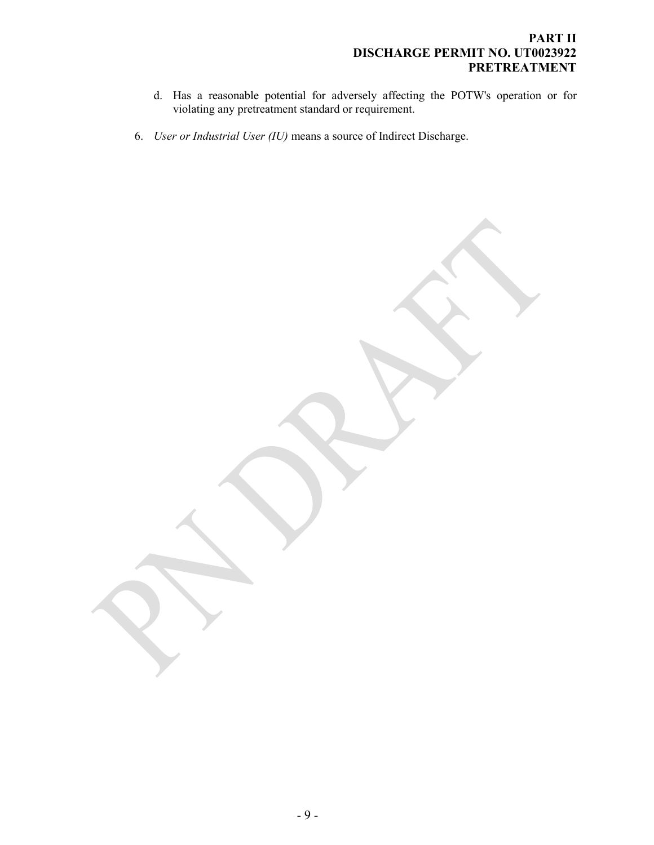# **PART II DISCHARGE PERMIT NO. UT0023922 PRETREATMENT**

- d. Has a reasonable potential for adversely affecting the POTW's operation or for violating any pretreatment standard or requirement.
- 6. *User or Industrial User (IU)* means a source of Indirect Discharge.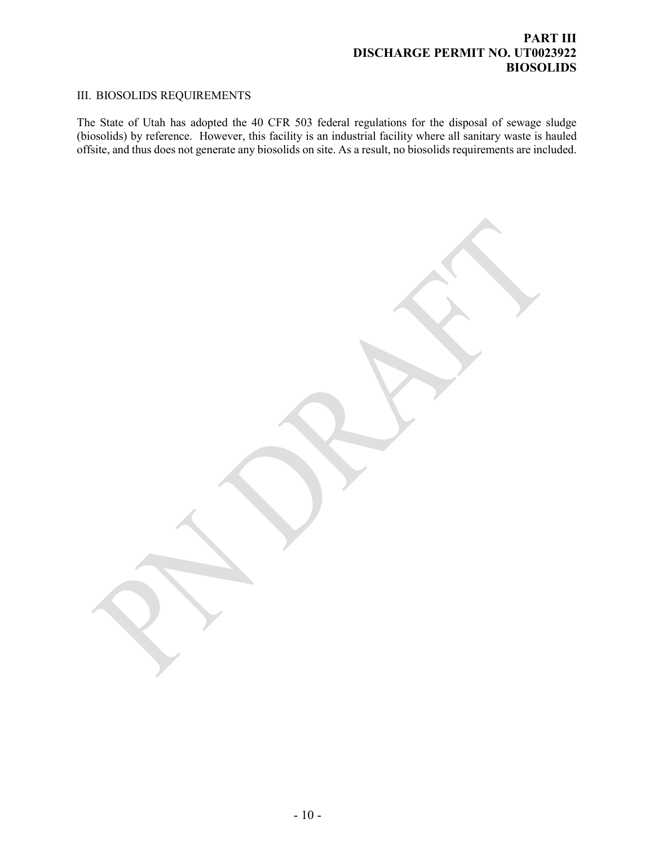# <span id="page-8-0"></span>**PART III DISCHARGE PERMIT NO. UT0023922 BIOSOLIDS**

# III. BIOSOLIDS REQUIREMENTS

The State of Utah has adopted the 40 CFR 503 federal regulations for the disposal of sewage sludge (biosolids) by reference. However, this facility is an industrial facility where all sanitary waste is hauled offsite, and thus does not generate any biosolids on site. As a result, no biosolids requirements are included.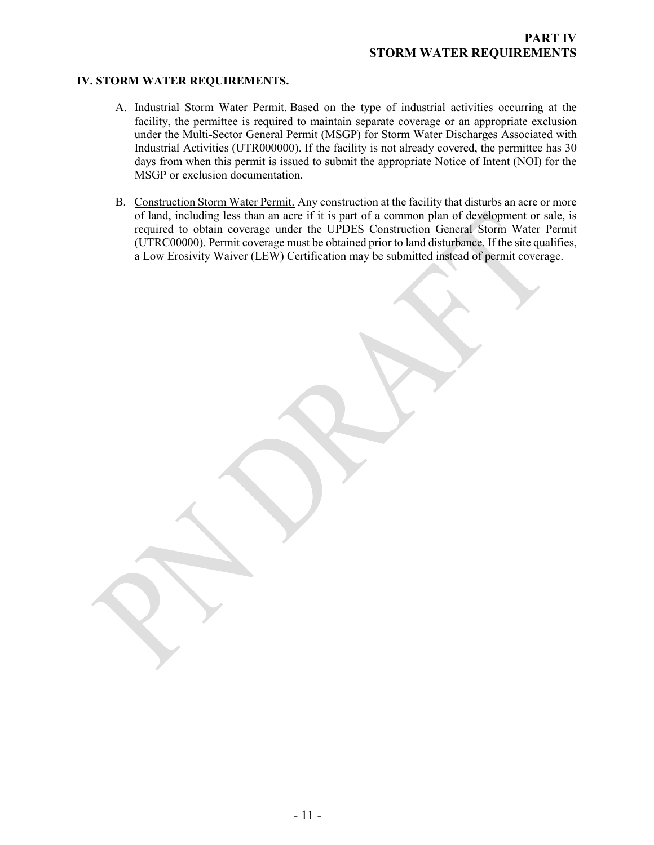#### **IV. STORM WATER REQUIREMENTS.**

- <span id="page-9-0"></span>A. Industrial Storm Water Permit. Based on the type of industrial activities occurring at the facility, the permittee is required to maintain separate coverage or an appropriate exclusion under the Multi-Sector General Permit (MSGP) for Storm Water Discharges Associated with Industrial Activities (UTR000000). If the facility is not already covered, the permittee has 30 days from when this permit is issued to submit the appropriate Notice of Intent (NOI) for the MSGP or exclusion documentation.
- B. Construction Storm Water Permit. Any construction at the facility that disturbs an acre or more of land, including less than an acre if it is part of a common plan of development or sale, is required to obtain coverage under the UPDES Construction General Storm Water Permit (UTRC00000). Permit coverage must be obtained prior to land disturbance. If the site qualifies, a Low Erosivity Waiver (LEW) Certification may be submitted instead of permit coverage.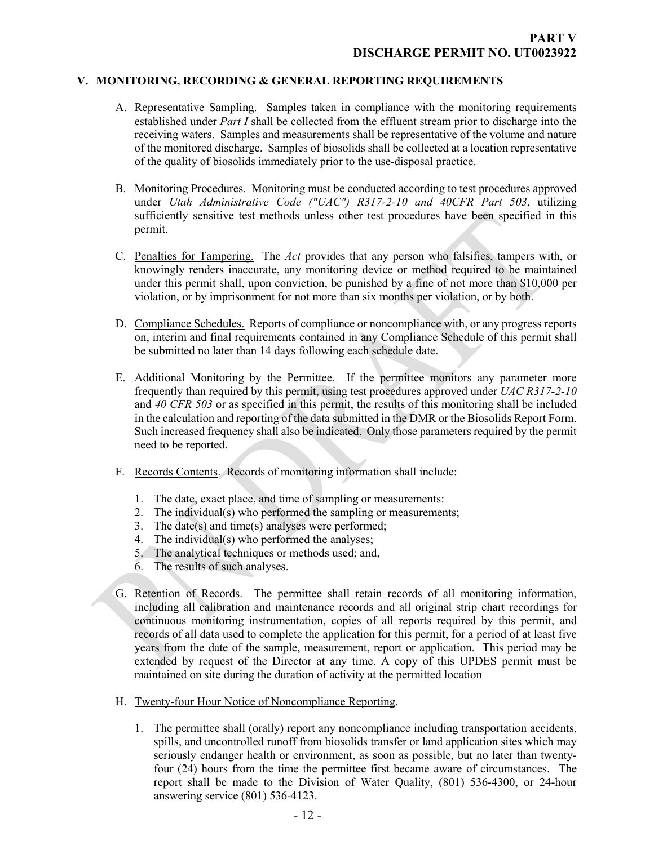#### **V. MONITORING, RECORDING & GENERAL REPORTING REQUIREMENTS**

- <span id="page-10-1"></span><span id="page-10-0"></span>A. Representative Sampling. Samples taken in compliance with the monitoring requirements established under *Part I* shall be collected from the effluent stream prior to discharge into the receiving waters. Samples and measurements shall be representative of the volume and nature of the monitored discharge. Samples of biosolids shall be collected at a location representative of the quality of biosolids immediately prior to the use-disposal practice.
- <span id="page-10-2"></span>B. Monitoring Procedures. Monitoring must be conducted according to test procedures approved under *Utah Administrative Code ("UAC") R317-2-10 and 40CFR Part 503*, utilizing sufficiently sensitive test methods unless other test procedures have been specified in this permit.
- <span id="page-10-3"></span>C. Penalties for Tampering. The *Act* provides that any person who falsifies, tampers with, or knowingly renders inaccurate, any monitoring device or method required to be maintained under this permit shall, upon conviction, be punished by a fine of not more than \$10,000 per violation, or by imprisonment for not more than six months per violation, or by both.
- <span id="page-10-4"></span>D. Compliance Schedules. Reports of compliance or noncompliance with, or any progress reports on, interim and final requirements contained in any Compliance Schedule of this permit shall be submitted no later than 14 days following each schedule date.
- <span id="page-10-5"></span>E. Additional Monitoring by the Permittee. If the permittee monitors any parameter more frequently than required by this permit, using test procedures approved under *UAC R317-2-10*  and *40 CFR 503* or as specified in this permit, the results of this monitoring shall be included in the calculation and reporting of the data submitted in the DMR or the Biosolids Report Form. Such increased frequency shall also be indicated. Only those parameters required by the permit need to be reported.
- <span id="page-10-6"></span>F. Records Contents. Records of monitoring information shall include:
	- 1. The date, exact place, and time of sampling or measurements:
	- 2. The individual(s) who performed the sampling or measurements;
	- 3. The date(s) and time(s) analyses were performed;
	- 4. The individual(s) who performed the analyses;
	- 5. The analytical techniques or methods used; and,
	- 6. The results of such analyses.
- <span id="page-10-7"></span>G. Retention of Records. The permittee shall retain records of all monitoring information, including all calibration and maintenance records and all original strip chart recordings for continuous monitoring instrumentation, copies of all reports required by this permit, and records of all data used to complete the application for this permit, for a period of at least five years from the date of the sample, measurement, report or application. This period may be extended by request of the Director at any time. A copy of this UPDES permit must be maintained on site during the duration of activity at the permitted location
- <span id="page-10-8"></span>H. Twenty-four Hour Notice of Noncompliance Reporting.
	- 1. The permittee shall (orally) report any noncompliance including transportation accidents, spills, and uncontrolled runoff from biosolids transfer or land application sites which may seriously endanger health or environment, as soon as possible, but no later than twentyfour (24) hours from the time the permittee first became aware of circumstances. The report shall be made to the Division of Water Quality, (801) 536-4300, or 24-hour answering service (801) 536-4123.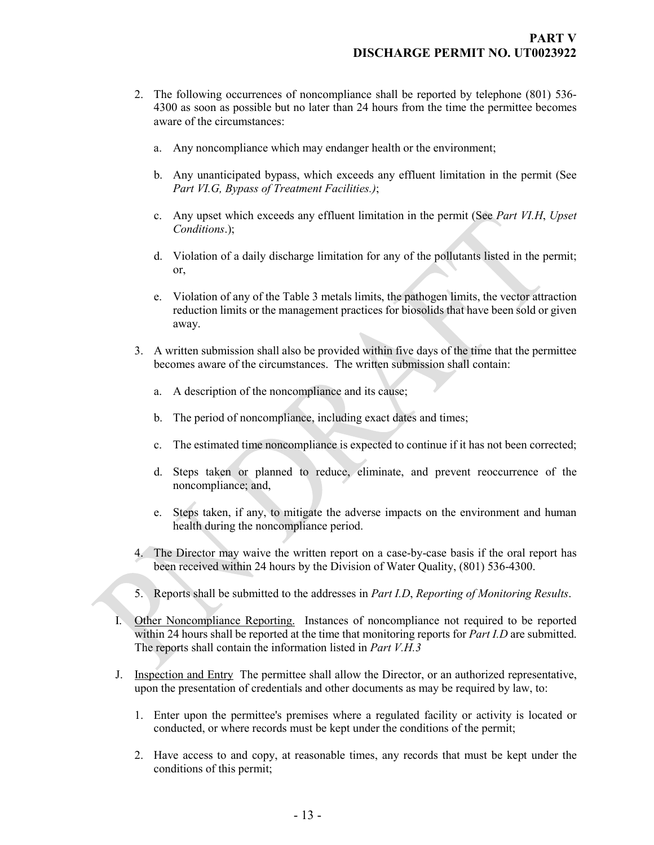- 2. The following occurrences of noncompliance shall be reported by telephone (801) 536- 4300 as soon as possible but no later than 24 hours from the time the permittee becomes aware of the circumstances:
	- a. Any noncompliance which may endanger health or the environment;
	- b. Any unanticipated bypass, which exceeds any effluent limitation in the permit (See *Part VI.G, Bypass of Treatment Facilities.)*;
	- c. Any upset which exceeds any effluent limitation in the permit (See *Part VI.H*, *Upset Conditions*.);
	- d. Violation of a daily discharge limitation for any of the pollutants listed in the permit; or,
	- e. Violation of any of the Table 3 metals limits, the pathogen limits, the vector attraction reduction limits or the management practices for biosolids that have been sold or given away.
- 3. A written submission shall also be provided within five days of the time that the permittee becomes aware of the circumstances. The written submission shall contain:
	- a. A description of the noncompliance and its cause;
	- b. The period of noncompliance, including exact dates and times;
	- c. The estimated time noncompliance is expected to continue if it has not been corrected;
	- d. Steps taken or planned to reduce, eliminate, and prevent reoccurrence of the noncompliance; and,
	- e. Steps taken, if any, to mitigate the adverse impacts on the environment and human health during the noncompliance period.
- 4. The Director may waive the written report on a case-by-case basis if the oral report has been received within 24 hours by the Division of Water Quality, (801) 536-4300.
- <span id="page-11-0"></span>5. Reports shall be submitted to the addresses in *Part I.D*, *Reporting of Monitoring Results*.
- I. Other Noncompliance Reporting. Instances of noncompliance not required to be reported within 24 hours shall be reported at the time that monitoring reports for *Part I.D* are submitted. The reports shall contain the information listed in *Part V.H.3*
- <span id="page-11-1"></span>J. Inspection and Entry The permittee shall allow the Director, or an authorized representative, upon the presentation of credentials and other documents as may be required by law, to:
	- 1. Enter upon the permittee's premises where a regulated facility or activity is located or conducted, or where records must be kept under the conditions of the permit;
	- 2. Have access to and copy, at reasonable times, any records that must be kept under the conditions of this permit;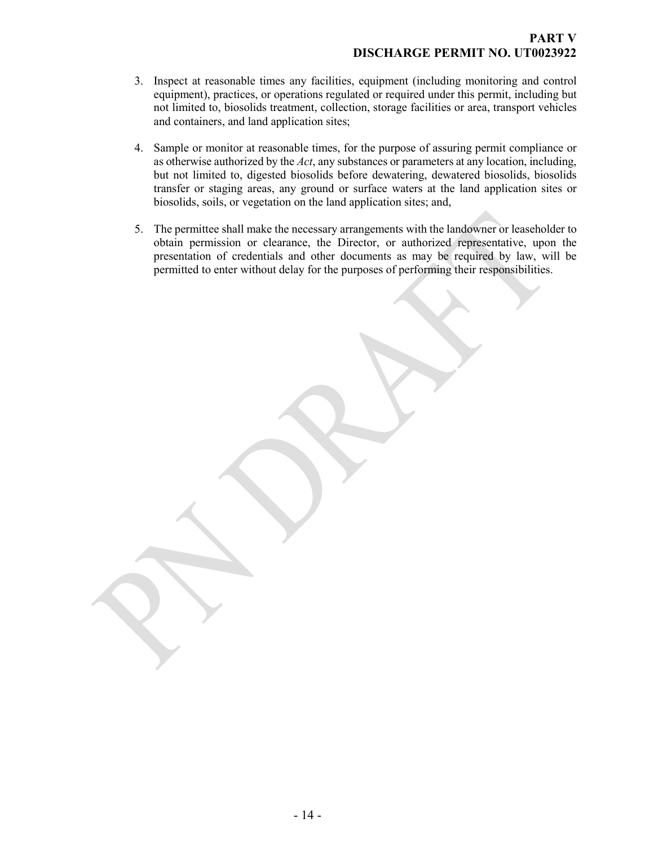- 3. Inspect at reasonable times any facilities, equipment (including monitoring and control equipment), practices, or operations regulated or required under this permit, including but not limited to, biosolids treatment, collection, storage facilities or area, transport vehicles and containers, and land application sites;
- 4. Sample or monitor at reasonable times, for the purpose of assuring permit compliance or as otherwise authorized by the *Act*, any substances or parameters at any location, including, but not limited to, digested biosolids before dewatering, dewatered biosolids, biosolids transfer or staging areas, any ground or surface waters at the land application sites or biosolids, soils, or vegetation on the land application sites; and,
- 5. The permittee shall make the necessary arrangements with the landowner or leaseholder to obtain permission or clearance, the Director, or authorized representative, upon the presentation of credentials and other documents as may be required by law, will be permitted to enter without delay for the purposes of performing their responsibilities.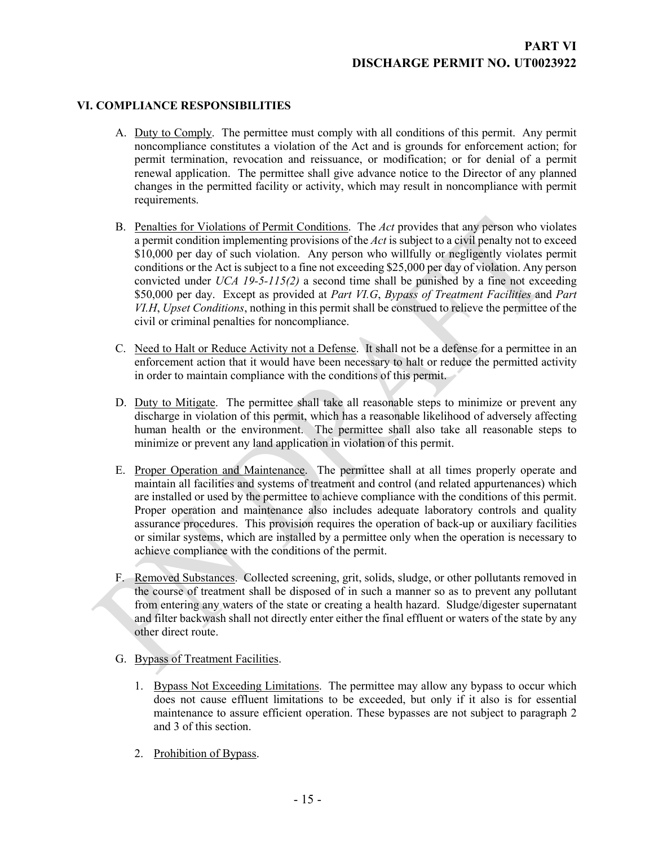## **VI. COMPLIANCE RESPONSIBILITIES**

- <span id="page-13-1"></span><span id="page-13-0"></span>A. Duty to Comply. The permittee must comply with all conditions of this permit. Any permit noncompliance constitutes a violation of the Act and is grounds for enforcement action; for permit termination, revocation and reissuance, or modification; or for denial of a permit renewal application. The permittee shall give advance notice to the Director of any planned changes in the permitted facility or activity, which may result in noncompliance with permit requirements.
- <span id="page-13-2"></span>B. Penalties for Violations of Permit Conditions. The *Act* provides that any person who violates a permit condition implementing provisions of the *Act* is subject to a civil penalty not to exceed \$10,000 per day of such violation. Any person who willfully or negligently violates permit conditions or the Act is subject to a fine not exceeding \$25,000 per day of violation. Any person convicted under *UCA 19-5-115(2)* a second time shall be punished by a fine not exceeding \$50,000 per day. Except as provided at *Part VI.G*, *Bypass of Treatment Facilities* and *Part VI.H*, *Upset Conditions*, nothing in this permit shall be construed to relieve the permittee of the civil or criminal penalties for noncompliance.
- <span id="page-13-3"></span>C. Need to Halt or Reduce Activity not a Defense. It shall not be a defense for a permittee in an enforcement action that it would have been necessary to halt or reduce the permitted activity in order to maintain compliance with the conditions of this permit.
- <span id="page-13-4"></span>D. Duty to Mitigate. The permittee shall take all reasonable steps to minimize or prevent any discharge in violation of this permit, which has a reasonable likelihood of adversely affecting human health or the environment. The permittee shall also take all reasonable steps to minimize or prevent any land application in violation of this permit.
- <span id="page-13-5"></span>E. Proper Operation and Maintenance. The permittee shall at all times properly operate and maintain all facilities and systems of treatment and control (and related appurtenances) which are installed or used by the permittee to achieve compliance with the conditions of this permit. Proper operation and maintenance also includes adequate laboratory controls and quality assurance procedures. This provision requires the operation of back-up or auxiliary facilities or similar systems, which are installed by a permittee only when the operation is necessary to achieve compliance with the conditions of the permit.
- <span id="page-13-6"></span>F. Removed Substances. Collected screening, grit, solids, sludge, or other pollutants removed in the course of treatment shall be disposed of in such a manner so as to prevent any pollutant from entering any waters of the state or creating a health hazard. Sludge/digester supernatant and filter backwash shall not directly enter either the final effluent or waters of the state by any other direct route.
- <span id="page-13-7"></span>G. Bypass of Treatment Facilities.
	- 1. Bypass Not Exceeding Limitations. The permittee may allow any bypass to occur which does not cause effluent limitations to be exceeded, but only if it also is for essential maintenance to assure efficient operation. These bypasses are not subject to paragraph 2 and 3 of this section.
	- 2. Prohibition of Bypass.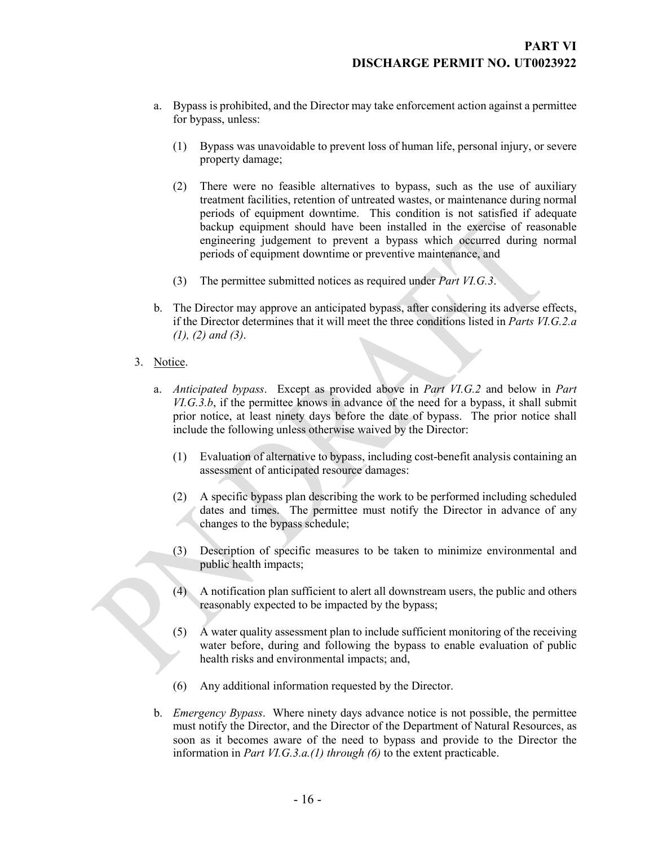- a. Bypass is prohibited, and the Director may take enforcement action against a permittee for bypass, unless:
	- (1) Bypass was unavoidable to prevent loss of human life, personal injury, or severe property damage;
	- (2) There were no feasible alternatives to bypass, such as the use of auxiliary treatment facilities, retention of untreated wastes, or maintenance during normal periods of equipment downtime. This condition is not satisfied if adequate backup equipment should have been installed in the exercise of reasonable engineering judgement to prevent a bypass which occurred during normal periods of equipment downtime or preventive maintenance, and
	- (3) The permittee submitted notices as required under *Part VI.G.3*.
- b. The Director may approve an anticipated bypass, after considering its adverse effects, if the Director determines that it will meet the three conditions listed in *Parts VI.G.2.a (1), (2) and (3)*.
- 3. Notice.
	- a. *Anticipated bypass*. Except as provided above in *Part VI.G.2* and below in *Part VI.G.3.b*, if the permittee knows in advance of the need for a bypass, it shall submit prior notice, at least ninety days before the date of bypass. The prior notice shall include the following unless otherwise waived by the Director:
		- (1) Evaluation of alternative to bypass, including cost-benefit analysis containing an assessment of anticipated resource damages:
		- (2) A specific bypass plan describing the work to be performed including scheduled dates and times. The permittee must notify the Director in advance of any changes to the bypass schedule;
		- (3) Description of specific measures to be taken to minimize environmental and public health impacts;
		- (4) A notification plan sufficient to alert all downstream users, the public and others reasonably expected to be impacted by the bypass;
		- $(5)$  A water quality assessment plan to include sufficient monitoring of the receiving water before, during and following the bypass to enable evaluation of public health risks and environmental impacts; and,
		- (6) Any additional information requested by the Director.
	- b. *Emergency Bypass*. Where ninety days advance notice is not possible, the permittee must notify the Director, and the Director of the Department of Natural Resources, as soon as it becomes aware of the need to bypass and provide to the Director the information in *Part VI.G.3.a.(1) through (6)* to the extent practicable.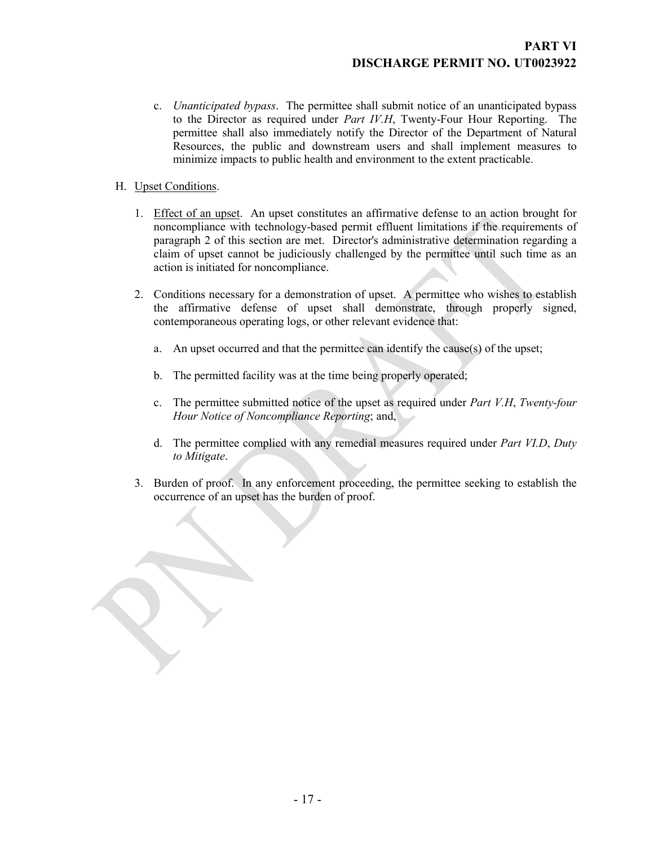- c. *Unanticipated bypass*. The permittee shall submit notice of an unanticipated bypass to the Director as required under *Part IV.H*, Twenty-Four Hour Reporting. The permittee shall also immediately notify the Director of the Department of Natural Resources, the public and downstream users and shall implement measures to minimize impacts to public health and environment to the extent practicable.
- <span id="page-15-0"></span>H. Upset Conditions.
	- 1. Effect of an upset. An upset constitutes an affirmative defense to an action brought for noncompliance with technology-based permit effluent limitations if the requirements of paragraph 2 of this section are met. Director's administrative determination regarding a claim of upset cannot be judiciously challenged by the permittee until such time as an action is initiated for noncompliance.
	- 2. Conditions necessary for a demonstration of upset. A permittee who wishes to establish the affirmative defense of upset shall demonstrate, through properly signed, contemporaneous operating logs, or other relevant evidence that:
		- a. An upset occurred and that the permittee can identify the cause(s) of the upset;
		- b. The permitted facility was at the time being properly operated;
		- c. The permittee submitted notice of the upset as required under *Part V.H*, *Twenty-four Hour Notice of Noncompliance Reporting*; and,
		- d. The permittee complied with any remedial measures required under *Part VI.D*, *Duty to Mitigate*.
	- 3. Burden of proof. In any enforcement proceeding, the permittee seeking to establish the occurrence of an upset has the burden of proof.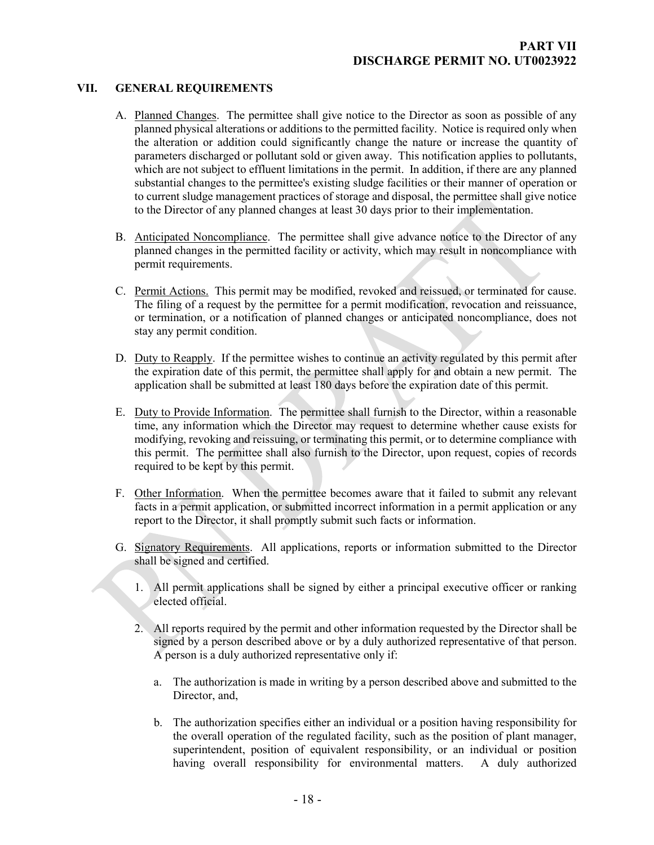### **VII. GENERAL REQUIREMENTS**

- <span id="page-16-1"></span><span id="page-16-0"></span>A. Planned Changes. The permittee shall give notice to the Director as soon as possible of any planned physical alterations or additions to the permitted facility. Notice is required only when the alteration or addition could significantly change the nature or increase the quantity of parameters discharged or pollutant sold or given away. This notification applies to pollutants, which are not subject to effluent limitations in the permit. In addition, if there are any planned substantial changes to the permittee's existing sludge facilities or their manner of operation or to current sludge management practices of storage and disposal, the permittee shall give notice to the Director of any planned changes at least 30 days prior to their implementation.
- <span id="page-16-2"></span>B. Anticipated Noncompliance. The permittee shall give advance notice to the Director of any planned changes in the permitted facility or activity, which may result in noncompliance with permit requirements.
- <span id="page-16-3"></span>C. Permit Actions. This permit may be modified, revoked and reissued, or terminated for cause. The filing of a request by the permittee for a permit modification, revocation and reissuance, or termination, or a notification of planned changes or anticipated noncompliance, does not stay any permit condition.
- <span id="page-16-4"></span>D. Duty to Reapply. If the permittee wishes to continue an activity regulated by this permit after the expiration date of this permit, the permittee shall apply for and obtain a new permit. The application shall be submitted at least 180 days before the expiration date of this permit.
- <span id="page-16-5"></span>E. Duty to Provide Information. The permittee shall furnish to the Director, within a reasonable time, any information which the Director may request to determine whether cause exists for modifying, revoking and reissuing, or terminating this permit, or to determine compliance with this permit. The permittee shall also furnish to the Director, upon request, copies of records required to be kept by this permit.
- <span id="page-16-6"></span>F. Other Information. When the permittee becomes aware that it failed to submit any relevant facts in a permit application, or submitted incorrect information in a permit application or any report to the Director, it shall promptly submit such facts or information.
- <span id="page-16-7"></span>G. Signatory Requirements. All applications, reports or information submitted to the Director shall be signed and certified.
	- 1. All permit applications shall be signed by either a principal executive officer or ranking elected official.
	- 2. All reports required by the permit and other information requested by the Director shall be signed by a person described above or by a duly authorized representative of that person. A person is a duly authorized representative only if:
		- a. The authorization is made in writing by a person described above and submitted to the Director, and,
		- b. The authorization specifies either an individual or a position having responsibility for the overall operation of the regulated facility, such as the position of plant manager, superintendent, position of equivalent responsibility, or an individual or position having overall responsibility for environmental matters. A duly authorized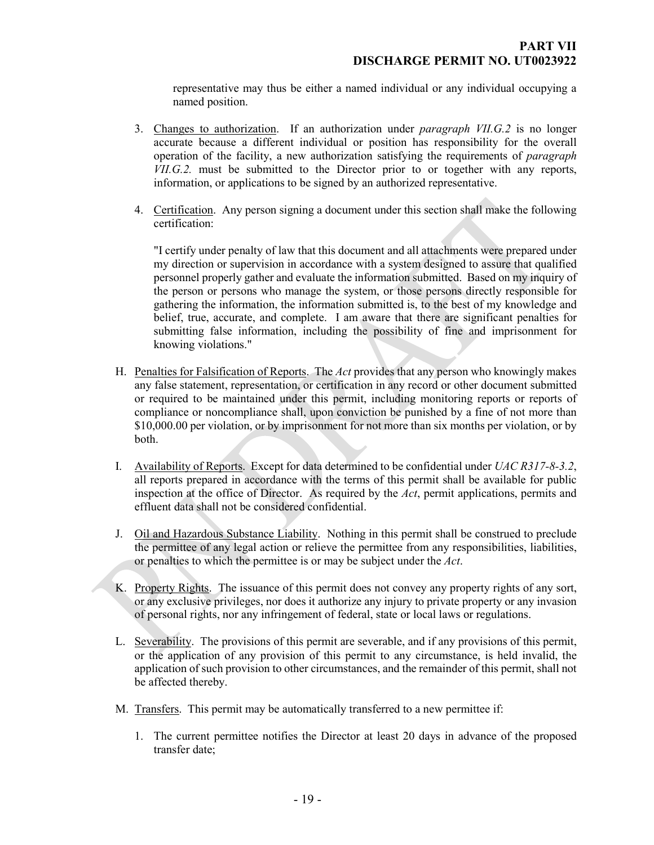representative may thus be either a named individual or any individual occupying a named position.

- 3. Changes to authorization. If an authorization under *paragraph VII.G.2* is no longer accurate because a different individual or position has responsibility for the overall operation of the facility, a new authorization satisfying the requirements of *paragraph VII.G.2.* must be submitted to the Director prior to or together with any reports, information, or applications to be signed by an authorized representative.
- 4. Certification. Any person signing a document under this section shall make the following certification:

"I certify under penalty of law that this document and all attachments were prepared under my direction or supervision in accordance with a system designed to assure that qualified personnel properly gather and evaluate the information submitted. Based on my inquiry of the person or persons who manage the system, or those persons directly responsible for gathering the information, the information submitted is, to the best of my knowledge and belief, true, accurate, and complete. I am aware that there are significant penalties for submitting false information, including the possibility of fine and imprisonment for knowing violations."

- <span id="page-17-0"></span>H. Penalties for Falsification of Reports. The *Act* provides that any person who knowingly makes any false statement, representation, or certification in any record or other document submitted or required to be maintained under this permit, including monitoring reports or reports of compliance or noncompliance shall, upon conviction be punished by a fine of not more than \$10,000.00 per violation, or by imprisonment for not more than six months per violation, or by both.
- <span id="page-17-1"></span>I. Availability of Reports. Except for data determined to be confidential under *UAC R317-8-3.2*, all reports prepared in accordance with the terms of this permit shall be available for public inspection at the office of Director. As required by the *Act*, permit applications, permits and effluent data shall not be considered confidential.
- <span id="page-17-2"></span>J. Oil and Hazardous Substance Liability. Nothing in this permit shall be construed to preclude the permittee of any legal action or relieve the permittee from any responsibilities, liabilities, or penalties to which the permittee is or may be subject under the *Act*.
- <span id="page-17-3"></span>K. Property Rights. The issuance of this permit does not convey any property rights of any sort, or any exclusive privileges, nor does it authorize any injury to private property or any invasion of personal rights, nor any infringement of federal, state or local laws or regulations.
- <span id="page-17-4"></span>L. Severability. The provisions of this permit are severable, and if any provisions of this permit, or the application of any provision of this permit to any circumstance, is held invalid, the application of such provision to other circumstances, and the remainder of this permit, shall not be affected thereby.
- <span id="page-17-5"></span>M. Transfers. This permit may be automatically transferred to a new permittee if:
	- 1. The current permittee notifies the Director at least 20 days in advance of the proposed transfer date;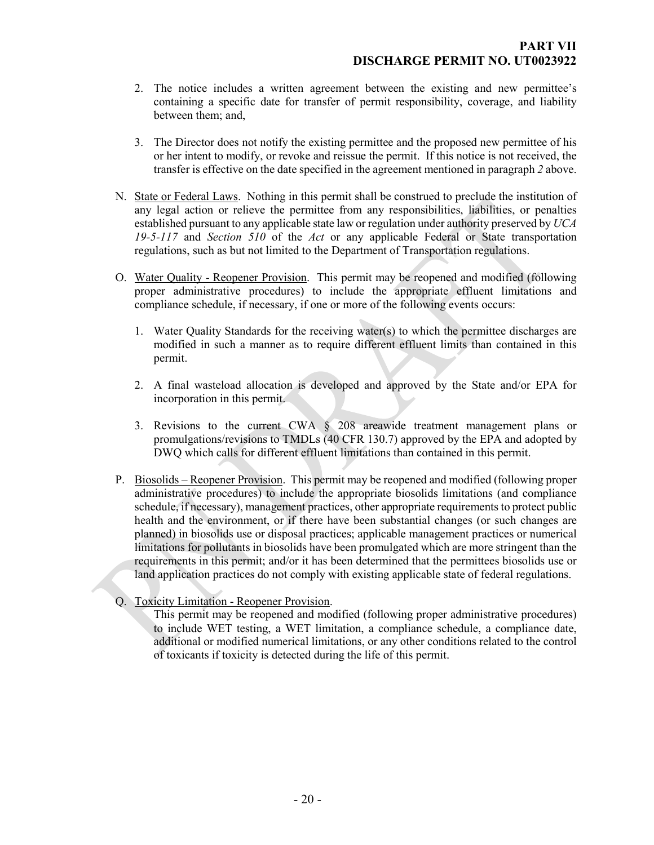- 2. The notice includes a written agreement between the existing and new permittee's containing a specific date for transfer of permit responsibility, coverage, and liability between them; and,
- <span id="page-18-0"></span>3. The Director does not notify the existing permittee and the proposed new permittee of his or her intent to modify, or revoke and reissue the permit. If this notice is not received, the transfer is effective on the date specified in the agreement mentioned in paragraph *2* above.
- N. State or Federal Laws. Nothing in this permit shall be construed to preclude the institution of any legal action or relieve the permittee from any responsibilities, liabilities, or penalties established pursuant to any applicable state law or regulation under authority preserved by *UCA 19-5-117* and *Section 510* of the *Act* or any applicable Federal or State transportation regulations, such as but not limited to the Department of Transportation regulations.
- <span id="page-18-1"></span>O. Water Quality - Reopener Provision. This permit may be reopened and modified (following proper administrative procedures) to include the appropriate effluent limitations and compliance schedule, if necessary, if one or more of the following events occurs:
	- 1. Water Quality Standards for the receiving water(s) to which the permittee discharges are modified in such a manner as to require different effluent limits than contained in this permit.
	- 2. A final wasteload allocation is developed and approved by the State and/or EPA for incorporation in this permit.
	- 3. Revisions to the current CWA § 208 areawide treatment management plans or promulgations/revisions to TMDLs (40 CFR 130.7) approved by the EPA and adopted by DWQ which calls for different effluent limitations than contained in this permit.
- <span id="page-18-2"></span>P. Biosolids – Reopener Provision. This permit may be reopened and modified (following proper administrative procedures) to include the appropriate biosolids limitations (and compliance schedule, if necessary), management practices, other appropriate requirements to protect public health and the environment, or if there have been substantial changes (or such changes are planned) in biosolids use or disposal practices; applicable management practices or numerical limitations for pollutants in biosolids have been promulgated which are more stringent than the requirements in this permit; and/or it has been determined that the permittees biosolids use or land application practices do not comply with existing applicable state of federal regulations.
- Q. Toxicity Limitation Reopener Provision.

<span id="page-18-3"></span>This permit may be reopened and modified (following proper administrative procedures) to include WET testing, a WET limitation, a compliance schedule, a compliance date, additional or modified numerical limitations, or any other conditions related to the control of toxicants if toxicity is detected during the life of this permit.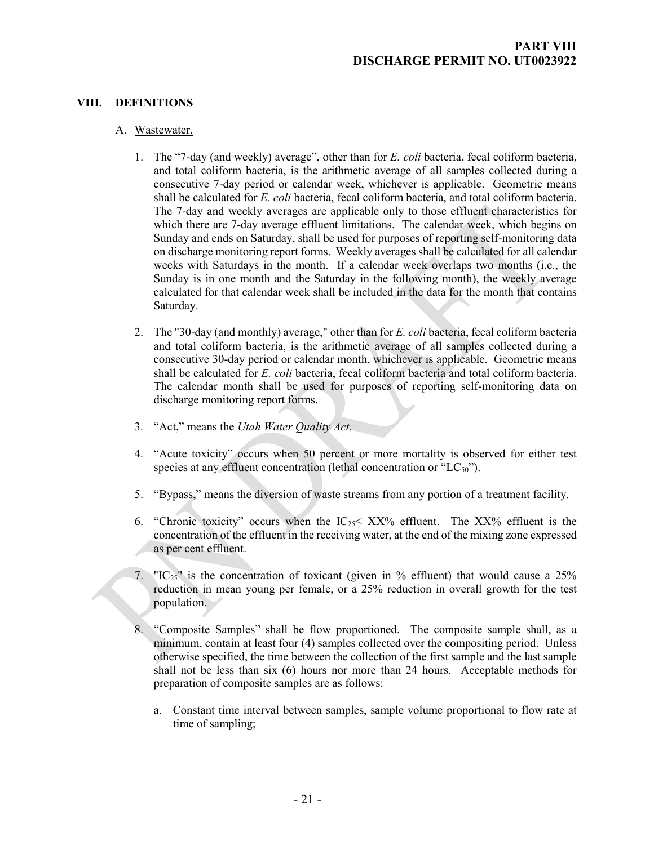## **VIII. DEFINITIONS**

#### A. Wastewater.

- <span id="page-19-1"></span><span id="page-19-0"></span>1. The "7-day (and weekly) average", other than for *E. coli* bacteria, fecal coliform bacteria, and total coliform bacteria, is the arithmetic average of all samples collected during a consecutive 7-day period or calendar week, whichever is applicable. Geometric means shall be calculated for *E. coli* bacteria, fecal coliform bacteria, and total coliform bacteria. The 7-day and weekly averages are applicable only to those effluent characteristics for which there are 7-day average effluent limitations. The calendar week, which begins on Sunday and ends on Saturday, shall be used for purposes of reporting self-monitoring data on discharge monitoring report forms. Weekly averages shall be calculated for all calendar weeks with Saturdays in the month. If a calendar week overlaps two months (i.e., the Sunday is in one month and the Saturday in the following month), the weekly average calculated for that calendar week shall be included in the data for the month that contains Saturday.
- 2. The "30-day (and monthly) average," other than for *E. coli* bacteria, fecal coliform bacteria and total coliform bacteria, is the arithmetic average of all samples collected during a consecutive 30-day period or calendar month, whichever is applicable. Geometric means shall be calculated for *E. coli* bacteria, fecal coliform bacteria and total coliform bacteria. The calendar month shall be used for purposes of reporting self-monitoring data on discharge monitoring report forms.
- 3. "Act," means the *Utah Water Quality Act*.
- 4. "Acute toxicity" occurs when 50 percent or more mortality is observed for either test species at any effluent concentration (lethal concentration or " $LC_{50}$ ").
- 5. "Bypass," means the diversion of waste streams from any portion of a treatment facility.
- 6. "Chronic toxicity" occurs when the  $IC_{25}$ <  $XX\%$  effluent. The  $XX\%$  effluent is the concentration of the effluent in the receiving water, at the end of the mixing zone expressed as per cent effluent.
- 7. " $IC_{25}$ " is the concentration of toxicant (given in % effluent) that would cause a 25% reduction in mean young per female, or a 25% reduction in overall growth for the test population.
- 8. "Composite Samples" shall be flow proportioned. The composite sample shall, as a minimum, contain at least four (4) samples collected over the compositing period. Unless otherwise specified, the time between the collection of the first sample and the last sample shall not be less than six (6) hours nor more than 24 hours. Acceptable methods for preparation of composite samples are as follows:
	- a. Constant time interval between samples, sample volume proportional to flow rate at time of sampling;